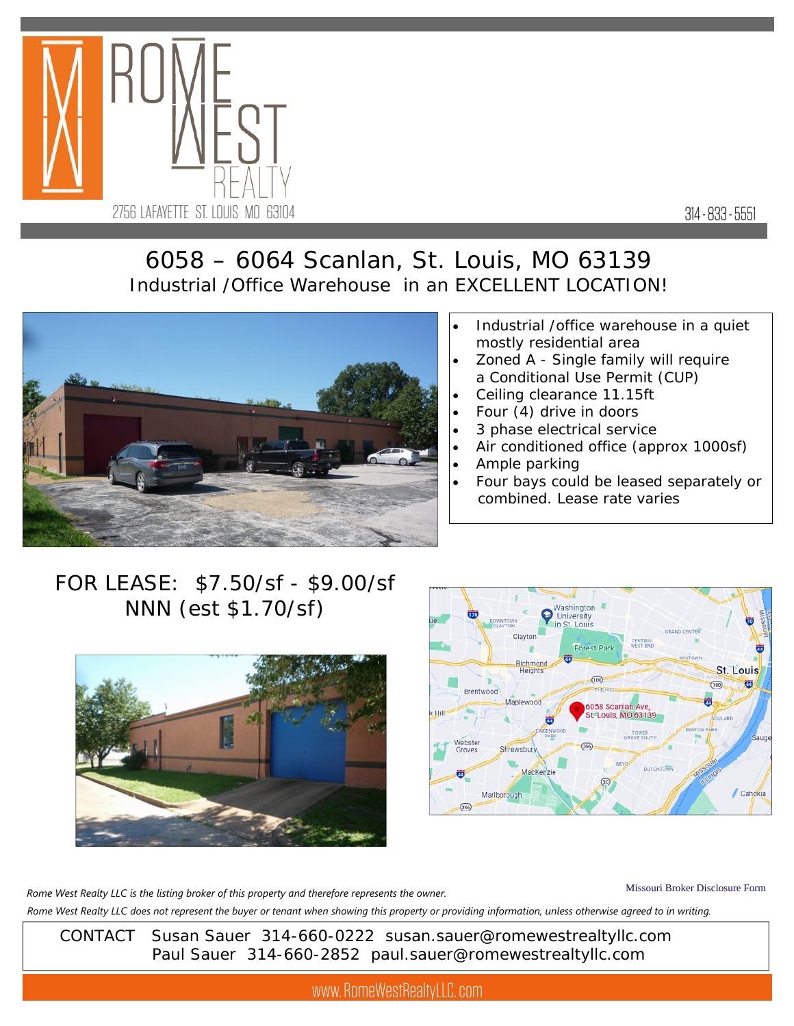

314 - 833 - 5551

## 6058 – 6064 Scanlan, St. Louis, MO 63139 Industrial /Office Warehouse in an EXCELLENT LOCATION!



- Industrial /office warehouse in a quiet mostly residential area
- Zoned A Single family will require a Conditional Use Permit (CUP)
- Ceiling clearance 11.15ft
- Four (4) drive in doors
- 3 phase electrical service
- Air conditioned office (approx 1000sf)
- Ample parking
- Four bays could be leased separately or combined. Lease rate varies

## FOR LEASE: \$7.50/sf - \$9.00/sf NNN (est \$1.70/sf)





Missouri Broker Disclosure Form *Rome West Realty LLC does not represent the buyer or tenant when showing this property or providing information, unless otherwise agreed to in writing. Rome West Realty LLC is the listing broker of this property and therefore represents the owner.* 

 CONTACT Susan Sauer 314-660-0222 susan.sauer@romewestrealtyllc.com Paul Sauer 314-660-2852 paul.sauer@romewestrealtyllc.com

www. RomeWestRealtyLLC. com